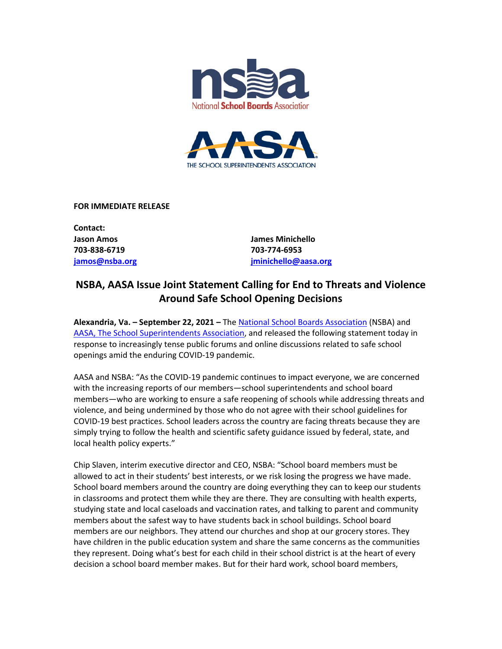



**FOR IMMEDIATE RELEASE** 

**Contact: 703-838-6719 703-774-6953** 

**Jason Amos James Minichello jamos@nsba.org [jminichello@aasa.org](mailto:jminichello@aasa.org)**

## **NSBA, AASA Issue Joint Statement Calling for End to Threats and Violence Around Safe School Opening Decisions**

**Alexandria, Va. – September 22, 2021 –** The [National School Boards Association](https://nsba.org/) (NSBA) and [AASA, The School Superintendents Association,](https://aasa.org/home/) and released the following statement today in response to increasingly tense public forums and online discussions related to safe school openings amid the enduring COVID-19 pandemic.

AASA and NSBA: "As the COVID-19 pandemic continues to impact everyone, we are concerned with the increasing reports of our members—school superintendents and school board members—who are working to ensure a safe reopening of schools while addressing threats and violence, and being undermined by those who do not agree with their school guidelines for COVID-19 best practices. School leaders across the country are facing threats because they are simply trying to follow the health and scientific safety guidance issued by federal, state, and local health policy experts."

Chip Slaven, interim executive director and CEO, NSBA: "School board members must be allowed to act in their students' best interests, or we risk losing the progress we have made. School board members around the country are doing everything they can to keep our students in classrooms and protect them while they are there. They are consulting with health experts, studying state and local caseloads and vaccination rates, and talking to parent and community members about the safest way to have students back in school buildings. School board members are our neighbors. They attend our churches and shop at our grocery stores. They have children in the public education system and share the same concerns as the communities they represent. Doing what's best for each child in their school district is at the heart of every decision a school board member makes. But for their hard work, school board members,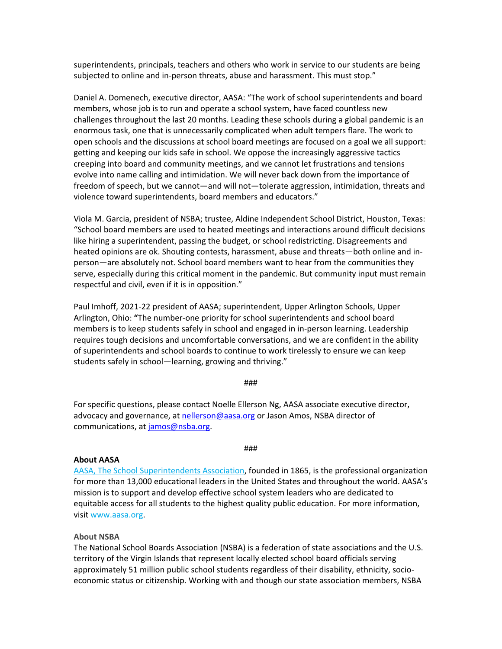superintendents, principals, teachers and others who work in service to our students are being subjected to online and in-person threats, abuse and harassment. This must stop."

Daniel A. Domenech, executive director, AASA: "The work of school superintendents and board members, whose job is to run and operate a school system, have faced countless new challenges throughout the last 20 months. Leading these schools during a global pandemic is an enormous task, one that is unnecessarily complicated when adult tempers flare. The work to open schools and the discussions at school board meetings are focused on a goal we all support: getting and keeping our kids safe in school. We oppose the increasingly aggressive tactics creeping into board and community meetings, and we cannot let frustrations and tensions evolve into name calling and intimidation. We will never back down from the importance of freedom of speech, but we cannot—and will not—tolerate aggression, intimidation, threats and violence toward superintendents, board members and educators."

Viola M. Garcia, president of NSBA; trustee, Aldine Independent School District, Houston, Texas: "School board members are used to heated meetings and interactions around difficult decisions like hiring a superintendent, passing the budget, or school redistricting. Disagreements and heated opinions are ok. Shouting contests, harassment, abuse and threats—both online and inperson—are absolutely not. School board members want to hear from the communities they serve, especially during this critical moment in the pandemic. But community input must remain respectful and civil, even if it is in opposition."

Paul Imhoff, 2021-22 president of AASA; superintendent, Upper Arlington Schools, Upper Arlington, Ohio: **"**The number-one priority for school superintendents and school board members is to keep students safely in school and engaged in in-person learning. Leadership requires tough decisions and uncomfortable conversations, and we are confident in the ability of superintendents and school boards to continue to work tirelessly to ensure we can keep students safely in school—learning, growing and thriving."

## ###

For specific questions, please contact Noelle Ellerson Ng, AASA associate executive director, advocacy and governance, at [nellerson@aasa.org](mailto:nellerson@aasa.org) or Jason Amos, NSBA director of communications, at [jamos@nsba.org.](mailto:jamos@nsba.org)

## **About AASA**

[AASA, The School Superintendents Association,](http://www.aasa.org/) founded in 1865, is the professional organization for more than 13,000 educational leaders in the United States and throughout the world. AASA's mission is to support and develop effective school system leaders who are dedicated to equitable access for all students to the highest quality public education. For more information, visit [www.aasa.org.](http://www.aasa.org/)

###

## **About NSBA**

The National School Boards Association (NSBA) is a federation of state associations and the U.S. territory of the Virgin Islands that represent locally elected school board officials serving approximately 51 million public school students regardless of their disability, ethnicity, socioeconomic status or citizenship. Working with and though our state association members, NSBA